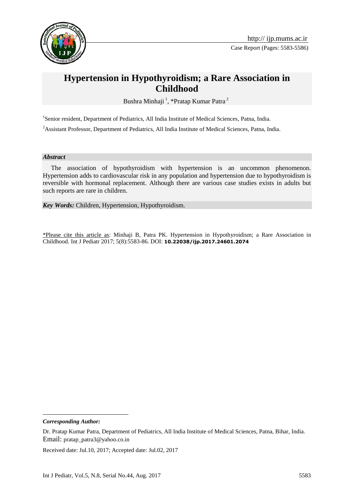

# **Hypertension in Hypothyroidism; a Rare Association in Childhood**

Bushra Minhaji<sup>1</sup>, \*Pratap Kumar Patra<sup>2</sup>

<sup>1</sup>Senior resident, Department of Pediatrics, All India Institute of Medical Sciences, Patna, India.

<sup>2</sup> Assistant Professor, Department of Pediatrics, All India Institute of Medical Sciences, Patna, India.

#### *Abstract*

 The association of hypothyroidism with hypertension is an uncommon phenomenon. Hypertension adds to cardiovascular risk in any population and hypertension due to hypothyroidism is reversible with hormonal replacement. Although there are various case studies exists in adults but such reports are rare in children.

*Key Words:* Children, Hypertension, Hypothyroidism.

\*Please cite this article as: Minhaji B, Patra PK. Hypertension in Hypothyroidism; a Rare Association in Childhood. Int J Pediatr 2017; 5(8):5583-86. DOI: **10.22038/ijp.2017.24601.2074**

*Corresponding Author:* 

1

Received date: Jul.10, 2017; Accepted date: Jul.02, 2017

Dr. Pratap Kumar Patra, Department of Pediatrics, All India Institute of Medical Sciences, Patna, Bihar, India. Email: pratap\_patra3@yahoo.co.in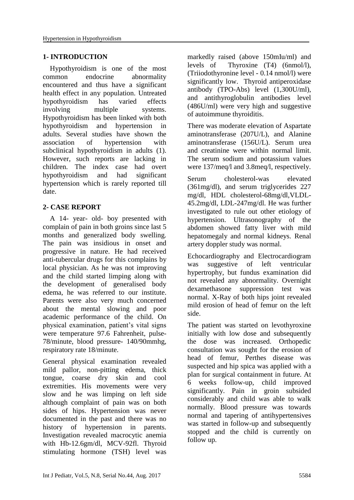# **1- INTRODUCTION**

 Hypothyroidism is one of the most common endocrine abnormality encountered and thus have a significant health effect in any population. Untreated hypothyroidism has varied effects involving multiple systems. Hypothyroidism has been linked with both hypothyroidism and hypertension in adults. Several studies have shown the association of hypertension with subclinical hypothyroidism in adults (1). However, such reports are lacking in children. The index case had overt hypothyroidism and had significant hypertension which is rarely reported till date.

# **2- CASE REPORT**

 A 14- year- old- boy presented with complain of pain in both groins since last 5 months and generalized body swelling. The pain was insidious in onset and progressive in nature. He had received anti-tubercular drugs for this complains by local physician. As he was not improving and the child started limping along with the development of generalised body edema, he was referred to our institute. Parents were also very much concerned about the mental slowing and poor academic performance of the child. On physical examination, patient's vital signs were temperature 97.6 Fahrenheit, pulse-78/minute, blood pressure- 140/90mmhg, respiratory rate 18/minute.

General physical examination revealed mild pallor, non-pitting edema, thick tongue, coarse dry skin and cool extremities. His movements were very slow and he was limping on left side although complaint of pain was on both sides of hips. Hypertension was never documented in the past and there was no history of hypertension in parents. Investigation revealed macrocytic anemia with Hb-12.6gm/dl, MCV-92fl. Thyroid stimulating hormone (TSH) level was

markedly raised (above 150mIu/ml) and levels of Thyroxine (T4) (6nmol/l), (Triiodothyronine level - 0.14 nmol/l) were significantly low. Thyroid antiperoxidase antibody (TPO-Abs) level (1,300U/ml), and antithyroglobulin antibodies level (486U/ml) were very high and suggestive of autoimmune thyroiditis.

There was moderate elevation of Aspartate aminotransferase (207U/L), and Alanine aminotransferase (156U/L). Serum urea and creatinine were within normal limit. The serum sodium and potassium values were 137/meq/l and 3.8meq/l, respectively.

Serum cholesterol-was elevated (361mg/dl), and serum triglycerides 227 mg/dl, HDL cholesterol-68mg/dl,VLDL-45.2mg/dl, LDL-247mg/dl. He was further investigated to rule out other etiology of hypertension. Ultrasonography of the abdomen showed fatty liver with mild hepatomegaly and normal kidneys. Renal artery doppler study was normal.

Echocardiography and Electrocardiogram was suggestive of left ventricular hypertrophy, but fundus examination did not revealed any abnormality. Overnight dexamethasone suppression test was normal. X-Ray of both hips joint revealed mild erosion of head of femur on the left side.

The patient was started on levothyroxine initially with low dose and subsequently the dose was increased. Orthopedic consultation was sought for the erosion of head of femur, Perthes disease was suspected and hip spica was applied with a plan for surgical containment in future. At 6 weeks follow-up, child improved significantly. Pain in groin subsided considerably and child was able to walk normally. Blood pressure was towards normal and tapering of antihypertensives was started in follow-up and subsequently stopped and the child is currently on follow up.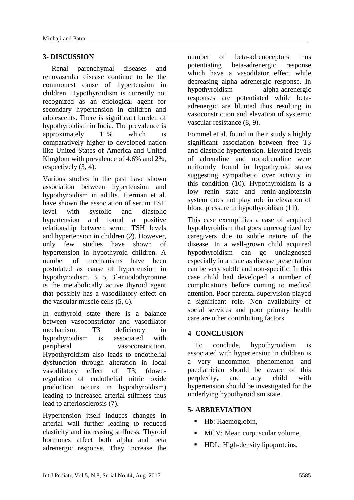## **3- DISCUSSION**

 Renal parenchymal diseases and renovascular disease continue to be the commonest cause of hypertension in children. Hypothyroidism is currently not recognized as an etiological agent for secondary hypertension in children and adolescents. There is significant burden of hypothyroidism in India. The prevalence is approximately 11% which is comparatively higher to developed nation like United States of America and United Kingdom with prevalence of 4.6% and 2%, respectively (3, 4).

Various studies in the past have shown association between hypertension and hypothyroidism in adults. Itterman et al. have shown the association of serum TSH level with systolic and diastolic hypertension and found a positive relationship between serum TSH levels and hypertension in children (2). However, only few studies have shown of hypertension in hypothyroid children. A number of mechanisms have been postulated as cause of hypertension in hypothyroidism. 3, 5, 3´-triiodothyronine is the metabolically active thyroid agent that possibly has a vasodilatory effect on the vascular muscle cells (5, 6).

In euthyroid state there is a balance between vasoconstrictor and vasodilator mechanism. T3 deficiency in hypothyroidism is associated with peripheral vasoconstriction. Hypothyroidism also leads to endothelial dysfunction through alteration in local vasodilatory effect of T3, (downregulation of endothelial nitric oxide production occurs in hypothyroidism) leading to increased arterial stiffness thus lead to arteriosclerosis (7).

Hypertension itself induces changes in arterial wall further leading to reduced elasticity and increasing stiffness. Thyroid hormones affect both alpha and beta adrenergic response. They increase the number of beta-adrenoceptors thus potentiating beta-adrenergic response which have a vasodilator effect while decreasing alpha adrenergic response. In hypothyroidism alpha-adrenergic responses are potentiated while betaadrenergic are blunted thus resulting in vasoconstriction and elevation of systemic vascular resistance (8, 9).

Fommel et al. found in their study a highly significant association between free T3 and diastolic hypertension. Elevated levels of adrenaline and noradrenaline were uniformly found in hypothyroid states suggesting sympathetic over activity in this condition (10). Hypothyroidism is a low renin state and renin-angiotensin system does not play role in elevation of blood pressure in hypothyroidism (11).

This case exemplifies a case of acquired hypothyroidism that goes unrecognized by caregivers due to subtle nature of the disease. In a well-grown child acquired hypothyroidism can go undiagnosed especially in a male as disease presentation can be very subtle and non-specific. In this case child had developed a number of complications before coming to medical attention. Poor parental supervision played a significant role. Non availability of social services and poor primary health care are other contributing factors.

## **4- CONCLUSION**

 To conclude, hypothyroidism is associated with hypertension in children is a very uncommon phenomenon and paediatrician should be aware of this perplexity, and any child with hypertension should be investigated for the underlying hypothyroidism state.

## **5- ABBREVIATION**

- Hb: Haemoglobin,
- **MCV:** Mean corpuscular volume,
- **HDL:** High-density lipoproteins,